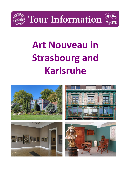

**Tour Information** 



# **Art Nouveau in Strasbourg and Karlsruhe**

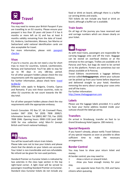

#### **Passports**

You may need to renew your British Passport if you are travelling to an EU country. Please ensure your passport is less than 10 years old (even if it has 6 months or more left on it) and has at least 6 months validity remaining from the date of travel. EU, Andorra, Liechtenstein, Monaco, San Marino or Switzerland valid national identification cards are also acceptable for travel.

For more information, please visit: **passport** [checker](https://www.gov.uk/visit-europe-1-january-2021?utm_medium=uktrav-partner&utm_source=social&utm_campaign=transition&utm_content=AITO)

### **Visas**

If you're a tourist, you do not need a visa for short trips to most EU countries, Iceland, Liechtenstein, Norway and Switzerland. You'll be able to stay for up to 90 days in any 180-day period. For all other passport holders please check the visa requirements with the appropriate embassy.

For further information, please check here: [travel](https://www.gov.uk/visit-europe-1-january-2021?utm_medium=uktrav-partner&utm_source=social&utm_campaign=transition&utm_content=AITO)  [to the EU](https://www.gov.uk/visit-europe-1-january-2021?utm_medium=uktrav-partner&utm_source=social&utm_campaign=transition&utm_content=AITO)

Different rules apply to Bulgaria, Croatia, Cyprus and Romania. If you visit these countries, visits to other EU countries do not count towards the 90 day total.

For all other passport holders please check the visa requirements with the appropriate embassy.

French Consulate: PO Box 57, 6A Cromwell Place, London SW7 2EW; Tel (020) 7838 2000/1. Information Service: Tel (0891) 887 733, Fax: (020) 7838 2046. Opening hours: 0900-1130 (and 1600- 1630 for visa collection only) Mon-Fri (except British and French national holidays).



You will be issued with return train tickets. Please take care not to lose your tickets and please check that the details on your tickets are accurate. Your ticket is non-transferable and non-refundable. No refund can be given for non-used portions.

Standard Premier on Eurostar tickets is indicated by two asterisks in the class type section in the top right-hand corner. A light meal will be served to passengers travelling Standard Premier on Eurostar. Standard class Eurostar tickets do not include any food or drink on board, although there is a buffet car serving drinks and snacks.

TGV tickets do not include any food or drink on board, although a buffet car is available.

### **Train Seats**

On all legs of the journey you have reserved seat and carriage numbers which are shown clearly on your ticket.



As with most trains, passengers are responsible for carrying baggage onto and off the train. Baggage can be stored on overhead shelves or at the entrance to the carriages. Trollies are available at St Pancras and Paris, but bags do need to be carried on to the platform. Porters are sometimes but not always available at St Pancras.

Travel Editions recommends a luggage delivery service called **thebaggageman**, where your suitcase can be picked up from your home before departure and delivered straight to your hotel; therefore removing the worry about carrying your cases onto and off the trains.

For further information: [http://www.thebaggageman.com](http://www.thebaggageman.com/)

#### **Labels**

Please use the luggage labels provided. It is useful to have your home address located inside your suitcase should the label go astray.

#### **Transfers**

On arrival in Strasbourg, transfer on foot to Le Grand Strasbourg Hotel (approx. 200 meters).

#### **Special Requests**

If you haven't already, please notify Travel Editions of any special requests as soon as possible to allow sufficient time to make the necessary arrangements.

#### **Border Control**

You may have to show your return ticket and money.

At border control, you may need to:

- show a return or onward ticket.
- show you have enough money for your stay.

• use separate lanes from EU, EEA and Swiss citizens when queueing.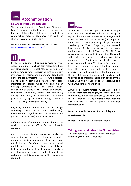

# **Le Grand Hotel, Strasbourg**

The modern, three-star Le Grand Hotel Strasbourg is perfectly located in the heart of the city opposite the train station. The hotel has a bar and offers comfortable, modern bedrooms with bath or shower, TV, safe, mini-bar and wi-fi.

For more information please visit the hotel's website: <https://www.le-grand-hotel.com/en/>



 **Food** 

If you are a gourmet, this tour is made for you. Alsace offers more Michelin star restaurants than any other region of France! Marked by its use of pork in various forms, Alsacian cuisine is strongly influenced by neighbouring Germany. Traditional dishes include *baeckeoffe* (casserole with potatoes, onions, mutton, beef and pork which have been marinated in Alsatian white wine and juniper berries), *flammekueche* (thin bread dough garnished with crème fraiche, lardons and onions)*, choucroute* (sauerkraut) served with Strasbourg sausage, frankfurter, or smoked pork*, fleischnacka* (cooked meat, egg and onion stuffing, rolled in a fresh egg pasta), and *coq au Riesling*.

*Kugelhopf (*Bundt cake made with soft yeast dough containing raisins, almonds and Kirschwasser), *Kaeskueche* (fromage blanc tart) and *Gâteau au vin*  (white or red wine cake) are popular sweets.

Coffee is served after the meal and will be black, in small cups, unless a *café au lait* (or *crème*) is requested.

Almost all restaurants offer two types of meals: *à la carte* (extensive choice for each course, generally more expensive) and *le menu* (a set meal at a fixed price). The bill (*l'addition*) will not be presented until it is asked for, even if clients sit and talk for half an hour after finishing their meal. Usually, a discretionary service charge is added to your bill in restaurants and bars, and no further tipping is required.



Wine is by far the most popular alcoholic beverage in France, and the choice will vary according to region. Alsace is a world-renowned wine region and its famous "Route du Vin" (wine road) encompasses more than 100 wine producing villages between Strasbourg and Thann. Forget any preconceived ideas about Rieslings being sweet and nasty (perhaps you recall Black Tower or Blue Nun), as Alsace produces an excellent range of sophisticated white wines and some great champagne styles (*Crémant*) too. Don't miss the delicious sweet dessert wine made with, *Gewürtztraminer* grapes. In elegant restaurants the wine list will be separate from the main menu, but in less opulent establishments will be printed on the back or along the side of the *carte.* The waiter will usually be glad to advise an appropriate choice. If in doubt, try the house wine; this will usually be less expensive and

As well as producing fantastic wines, Alsace is also France's main beer brewing region, thanks primarily to breweries in and near Strasbourg, which include the international *Fischer, Karlsbräu Kroenenbourg*  and *Heineken,* as well as plenty of artisanal microbreweries.

will always be the owner's pride.

#### **Meals included in the price of your holiday are:**

**Breakfast** – daily

**Dinner** – 2 dinners at the Brasserie Floderer

# **Taking food and drink into EU countries**

You are not able to take meat, milk or products containing them into EU countries.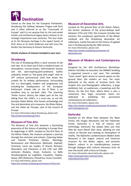

Famed as the base for the European Parliament, Strasbourg lies halfway between Prague and Paris and is often referred to as the "crossroads of Europe" and it is no surprise that its rich and varied artistic and architectural legacy bears witness to its strategic importance over centuries. This tour looks at its Art Nouveau heritage in the expert hands of Prof. Anne or Dr Scott Anderson and will cross the border into Germany to historic Karlsruhe.

#### **Details of places of interest included in your tour:**

### **Strasbourg**

The city of Strasbourg offers a stark contrast of old and new. At its heart you'll find a medieval town of atmospheric narrow streets, half-timbered houses and the awe-inspiring pink-sandstone Gothic cathedral, known as "the great pink angel" with its 19<sup>th</sup> century astronomical clock that draws the crowds for its midday performance. Surrounding this is a thoroughly modern and progressive city including the headquarters of the European Parliament. A boat ride on the Ill River is an excellent way to see both sides. The charming 'Petite France' district, the oldest part of the city dating from the 1100's, is a must see, as are the baroque *Palais Rohan*, that houses archaeology and fine and decorative arts museums*, the Rhine Palace,*  and the *Palais de l'Europe*, seat of the Council of Europe*.*

For more information about Strasbourg, please visit: <http://www.otstrasbourg.fr/en/>

# **Museum of Fine Arts**

The Museum of Fine Arts presents a fascinating panorama of the history of painting in Europe from its beginnings in 1870. Located on the first floor of the Rohan Palace, the museum proposes a journey through the centuries and schools. Featuring Italian and Flemish Primitives (Giotto, Memling), Renaissance and Mannerism (Botticelli, Raphaël, Veronese, Lucas van Leyden, El Greco), Baroque, Naturalism and Classicism in the 17th and 18th centuries (Rubens, Vouet, Zurbarán, La Belle Strasbourgeoise by Largillière, Canaletto, Tiepolo, Goya), 20th (Delacroix, Chassériau, Corot, Courbet). For more information, please visit:

<https://en.musees.strasbourg.eu/museum-of-fine-arts>

## **Museum of Decorative Arts**

Located on the ground floor of the Rohan Palace, the former residence of the prince-bishops built between 1732 and 1742, this museum includes two sections: the sumptuous apartments of the Rohan cardinals and the Strasbourg decorative art collections, mainly focused on the history of applied arts in Strasbourg during the 18th century.

For more information, please visit: [https://en.musees.strasbourg.eu/museum-of](https://en.musees.strasbourg.eu/museum-of-decorative-arts)[decorative-arts](https://en.musees.strasbourg.eu/museum-of-decorative-arts)

# **Museum of Modern and Contemporary Art**

Designed by the AFA Architecture Workshops (Adrien Fainsilber et Associés), the MAMCS building is organised around a vast nave. This veritable "inner street" gives access to several spaces on the ground floor: the modern art tour, the room dedicated to the works of Gustave Doré, the Graphic Arts and Photographic collections, a large exhibition hall, an auditorium, a bookshop and the library. On the first floor, where there is also a restaurant, four large, successive rooms are dedicated to exhibiting the permanent contemporary art collections.

For more information, please visit: [https://en.musees.strasbourg.eu/museum-of-modern](https://en.musees.strasbourg.eu/museum-of-modern-and-contemporary-art)[and-contemporary-art](https://en.musees.strasbourg.eu/museum-of-modern-and-contemporary-art)

# **Karlsruhe**

Situated on the Rhine Plain between the Black Forest, the Vosges Mountains and the Palatinate Forest, Karlsruhe is a hub of science and technology. Karlsruhe has always been just that little bit more liberal than most, allowing art and culture to flourish and creating an atmosphere of vitality. The Badisches Landesmuseum (Baden State Museum) is the largest cultural and historical museum for the Baden region, and presents Baden's culture in an interdisciplinary manner through dialogue with cultural witnesses from all over the world, with a focus on Europe. For more information about Karlsruhe, please visit:

[https://www.germany.travel/en/cities](https://www.germany.travel/en/cities-culture/karlsruhe.html)[culture/karlsruhe.html](https://www.germany.travel/en/cities-culture/karlsruhe.html)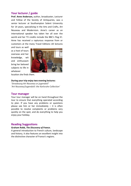# **Your lecturer / guide**

**Prof. Anne Anderson,** author, broadcaster, Lecturer and Fellow of the Society of Antiquaries, was a senior lecturer at Southampton Solent University for 14 years, specialising in the Arts and Crafts, Art Nouveau and Modernism. Anne's career as an international speaker has taken her all over the world and her TV credits include the BBC's Flog It!. Anne has received a rapturous response from or customers at the many Travel Editions UK lectures

and tours as well as a host of tours overseas and her knowledge, wit and enthusiasm bring her beloved subjects to life in whatever



location she finds them.

#### **During your trip enjoy two evening lectures:**

'*Strasbourg Art Nouveau or jugendstil' 'Art Nouveau/Jugendstil: the Karlsruhe Collection'*

#### **Tour manager**

Your tour manager will be on hand throughout the tour to ensure that everything operated according to plan. If you have any problems or questions please see him or her immediately – it is often possible to resolve complaints or problems very quickly on the spot, and do everything to help you enjoy your holiday.

#### **Reading Suggestions**

#### **Graham Robb,** *The Discovery of France***.**

A general introduction to French culture, landscape and history, it also features an excellent insight into the distinctive character of France's regions.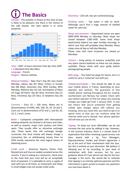**The Basics**  Climate – The weather in Alsace at this time of year is likely to be pleasant, but there is the chance of the odd shower. Our best advice is to come

prepared..



Time – GMT +2 hours (Summer time Apr-Oct); GMT + 1 (Standard time Nov-Mar). Language – French. Religion – Roman Catholic.

National holidays – New Year's Day (01 Jan); Easter Monday; Labour day (01 May); Victory in Europe day (08 May); Ascension Day; Whit Sunday; Whit Monday; National day (14 Jul); Assumption of Mary (15 Aug); All Saints' day (01 Nov); Armistice day (11 Nov); Christmas day (25 Dec); St Stephens Day (26 Dec).

Currency – Euro.  $\epsilon_1$  = 100 cents. Notes are in denominations of €500, 200, 100, 50, 20, 10 and 5. Coins are in denominations of  $E$ 2 and 1, and 50, 20, 10, 5, 2 and 1 cents.

Banks – Cashpoints compatible with international banking networks are located in all towns and cities, as well as airports, major train stations and other spots. They usually offer an attractive exchange rate. Those banks that still exchange foreign currencies into local money will always charge a transaction fee, so withdrawing money from an ATM usually represents the most logical means of obtaining euros.

Credit cards – American Express, Diners Club, MasterCard and Visa are widely accepted across the country. If you're eating at a restaurant, check prior to the meal that your card will be an acceptable form of payment. It is advisable to carry a supply of cash with you at all times, as restaurants and shops in small villages may not accept credit cards.

Electricity – 220 volt, two-pin continental plug.

Drinking water – Tap water is safe to drink. (Although you'll find a huge amount of bottled water for sale too)

Shops and museums – Department stores are open 0900-1830 Monday to Saturday. Most shops are closed between 1200-1430. Some food shops (particularly bakers) are open Sunday mornings, in which case they will probably close Monday. Many shops close all day or half-day Monday.

Please note that most museums are closed on Mondays.

Camera – bring plenty of memory cards/film and any spare camera batteries as these are not always available. Please check with your guide before photographing people.

Bath plugs – The hotel has plugs for basins, but it is useful to carry a 'universal' one with you.

Telephones/mobiles – You should be able to use your mobile phone in France, depending on your operator and contract. The guarantee of free mobile phone roaming throughout the EU, Iceland, Liechtenstein and Norway has ended. Check with your phone operator to find out about any roaming charges you might get from 1 January 2021. A new law means that you're protected from getting mobile data charges above £45 without you knowing. Once you reach £45, you need to opt in to spend more so that you can continue using the internet while you're abroad. Your phone operator will tell how you can do this.

Tipping –To keep our tours affordable, we do not increase the tour price by adding in tips. However, in the tourism industry, there is a certain level of expectation that when receiving a good service, one does award with a tip. Tour Managers, Representatives, Guides and Drivers appreciate a tip at the end of their involvement with the tour, but this is entirely at your discretion. We believe in allowing you to tip according to your level of satisfaction with their services, but for your guidance about £2-3 per person per day for the tour manager is the norm. We would like to reiterate that tipping is an entirely optional payment and this information is given purely to answer any questions you may have about it.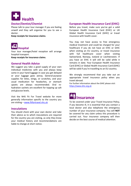

# **Doctor/Dentist/Chemist**

Please talk to your tour manager if you are feeling unwell and they will organise for you to see a doctor.

**Keep receipts for insurance claims**.



Your tour manager/hotel reception will arrange hospital transport.

**Keep receipts for insurance claims**.

# **General Health Advice**

We suggest you take a good supply of your own individual medicines with you and always keep some in your hand luggage in case you get delayed or your luggage goes astray. General-purpose supplies for bites, stings, or scratches, and your usual medication for headaches, or stomach upsets are always recommended. Oral rehydration sachets are excellent for topping up salt and glucose levels.

Visit the NHS Fit For Travel website for more generally information specific to the country you are visiting - [www.fitfortravel.nhs.uk](http://www.fitfortravel.nhs.uk/)

# **Inoculations**

You should check with your own doctor and take their advice as to which inoculations are required for the country you are visiting, as only they know your medical history and recommendations are liable to change at short notice.

# **European Health Insurance Card (EHIC)**

Before you travel, make sure you've got a valid European Health Insurance Card (EHIC) or UK Global Health Insurance Card (GHIC) or travel insurance with health cover.

You may not have access to free emergency medical treatment and could be charged for your healthcare if you do not have an EHIC or GHIC when visiting an EU country, or travel insurance with full healthcare cover when visiting Switzerland, Norway, Iceland or Liechtenstein. If you have an EHIC it will still be valid while it remains in date. Your European Health Insurance Card (EHIC) or Global Health Insurance Card (GHIC) will be valid if you're travelling to an EU country.

We strongly recommend that you take out an appropriate travel insurance policy when you travel abroad.

For further information about the GHIC please visit: [https://www.ehic.org.uk](https://www.ehic.org.uk/)



To be covered under your Travel Insurance Policy, if you become ill, it is essential that you contact a local doctor and also telephone the emergency number of your insurance company. You will **NOT** be covered for any claim unless this procedure is carried out. Your insurance company will then decide on the best course of medical attention.